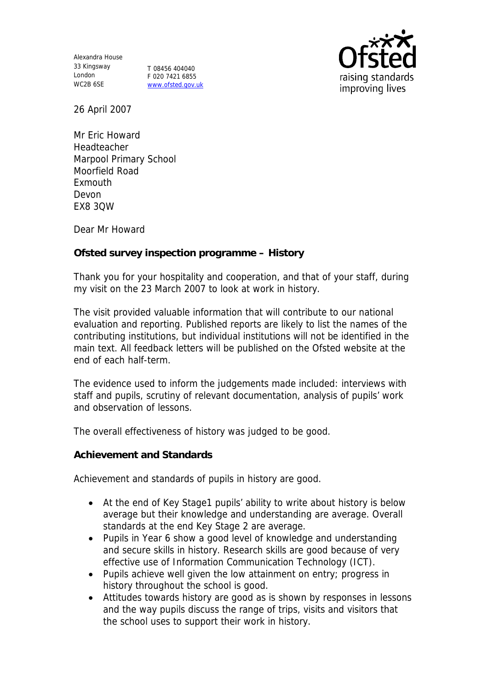Alexandra House 33 Kingsway London WC2B 6SE

T 08456 404040 F 020 7421 6855 www.ofsted.gov.uk



26 April 2007

Mr Eric Howard Headteacher Marpool Primary School Moorfield Road Exmouth Devon EX8 3QW

Dear Mr Howard

**Ofsted survey inspection programme – History** 

Thank you for your hospitality and cooperation, and that of your staff, during my visit on the 23 March 2007 to look at work in history.

The visit provided valuable information that will contribute to our national evaluation and reporting. Published reports are likely to list the names of the contributing institutions, but individual institutions will not be identified in the main text. All feedback letters will be published on the Ofsted website at the end of each half-term.

The evidence used to inform the judgements made included: interviews with staff and pupils, scrutiny of relevant documentation, analysis of pupils' work and observation of lessons.

The overall effectiveness of history was judged to be good.

**Achievement and Standards**

Achievement and standards of pupils in history are good.

- At the end of Key Stage1 pupils' ability to write about history is below average but their knowledge and understanding are average. Overall standards at the end Key Stage 2 are average.
- Pupils in Year 6 show a good level of knowledge and understanding and secure skills in history. Research skills are good because of very effective use of Information Communication Technology (ICT).
- Pupils achieve well given the low attainment on entry; progress in history throughout the school is good.
- Attitudes towards history are good as is shown by responses in lessons and the way pupils discuss the range of trips, visits and visitors that the school uses to support their work in history.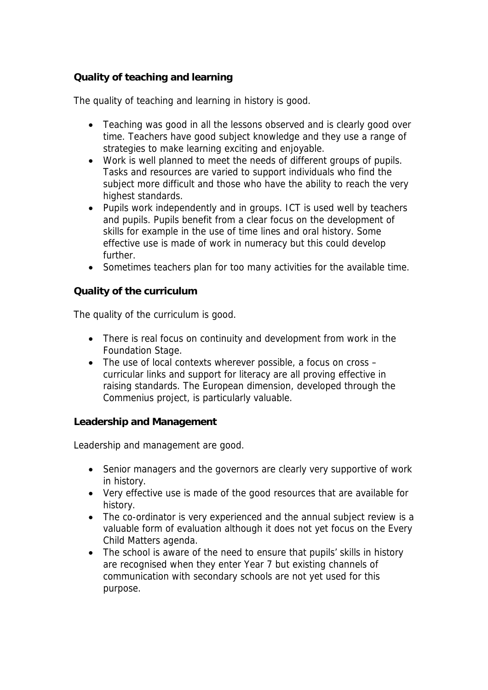## **Quality of teaching and learning**

The quality of teaching and learning in history is good.

- Teaching was good in all the lessons observed and is clearly good over time. Teachers have good subject knowledge and they use a range of strategies to make learning exciting and enjoyable.
- Work is well planned to meet the needs of different groups of pupils. Tasks and resources are varied to support individuals who find the subject more difficult and those who have the ability to reach the very highest standards.
- Pupils work independently and in groups. ICT is used well by teachers and pupils. Pupils benefit from a clear focus on the development of skills for example in the use of time lines and oral history. Some effective use is made of work in numeracy but this could develop further.
- Sometimes teachers plan for too many activities for the available time.

**Quality of the curriculum**

The quality of the curriculum is good.

- There is real focus on continuity and development from work in the Foundation Stage.
- The use of local contexts wherever possible, a focus on cross curricular links and support for literacy are all proving effective in raising standards. The European dimension, developed through the Commenius project, is particularly valuable.

**Leadership and Management**

Leadership and management are good.

- Senior managers and the governors are clearly very supportive of work in history.
- Very effective use is made of the good resources that are available for history.
- The co-ordinator is very experienced and the annual subject review is a valuable form of evaluation although it does not yet focus on the Every Child Matters agenda.
- The school is aware of the need to ensure that pupils' skills in history are recognised when they enter Year 7 but existing channels of communication with secondary schools are not yet used for this purpose.